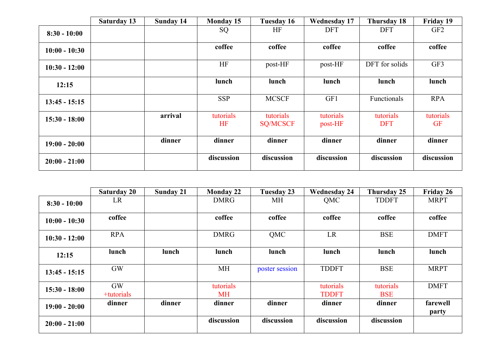|                 | <b>Saturday 13</b> | <b>Sunday 14</b> | <b>Monday 15</b> | <b>Tuesday 16</b>            | <b>Wednesday 17</b>  | Thursday 18             | <b>Friday 19</b>       |
|-----------------|--------------------|------------------|------------------|------------------------------|----------------------|-------------------------|------------------------|
| $8:30 - 10:00$  |                    |                  | SQ               | HF                           | <b>DFT</b>           | <b>DFT</b>              | GF <sub>2</sub>        |
| $10:00 - 10:30$ |                    |                  | coffee           | coffee                       | coffee               | coffee                  | coffee                 |
| $10:30 - 12:00$ |                    |                  | HF               | post-HF                      | post-HF              | DFT for solids          | GF3                    |
| 12:15           |                    |                  | lunch            | lunch                        | lunch                | lunch                   | lunch                  |
| $13:45 - 15:15$ |                    |                  | <b>SSP</b>       | <b>MCSCF</b>                 | GF1                  | Functionals             | <b>RPA</b>             |
| $15:30 - 18:00$ |                    | arrival          | tutorials<br>HF  | tutorials<br><b>SQ/MCSCF</b> | tutorials<br>post-HF | tutorials<br><b>DFT</b> | tutorials<br><b>GF</b> |
| $19:00 - 20:00$ |                    | dinner           | dinner           | dinner                       | dinner               | dinner                  | dinner                 |
| $20:00 - 21:00$ |                    |                  | discussion       | discussion                   | discussion           | discussion              | discussion             |

|                 | <b>Saturday 20</b>      | <b>Sunday 21</b> | <b>Monday 22</b>       | Tuesday 23     | <b>Wednesday 24</b>       | Thursday 25             | Friday 26         |
|-----------------|-------------------------|------------------|------------------------|----------------|---------------------------|-------------------------|-------------------|
| $8:30 - 10:00$  | LR                      |                  | <b>DMRG</b>            | MH             | QMC                       | <b>TDDFT</b>            | <b>MRPT</b>       |
| $10:00 - 10:30$ | coffee                  |                  | coffee                 | coffee         | coffee                    | coffee                  | coffee            |
| $10:30 - 12:00$ | <b>RPA</b>              |                  | <b>DMRG</b>            | QMC            | LR                        | <b>BSE</b>              | <b>DMFT</b>       |
| 12:15           | lunch                   | lunch            | lunch                  | lunch          | lunch                     | lunch                   | lunch             |
| $13:45 - 15:15$ | <b>GW</b>               |                  | MH                     | poster session | <b>TDDFT</b>              | <b>BSE</b>              | <b>MRPT</b>       |
| $15:30 - 18:00$ | <b>GW</b><br>+tutorials |                  | tutorials<br><b>MH</b> |                | tutorials<br><b>TDDFT</b> | tutorials<br><b>BSE</b> | <b>DMFT</b>       |
| $19:00 - 20:00$ | dinner                  | dinner           | dinner                 | dinner         | dinner                    | dinner                  | farewell<br>party |
| $20:00 - 21:00$ |                         |                  | discussion             | discussion     | discussion                | discussion              |                   |